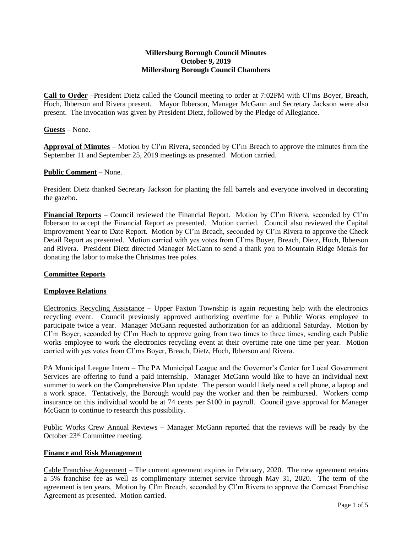## **Millersburg Borough Council Minutes October 9, 2019 Millersburg Borough Council Chambers**

**Call to Order** –President Dietz called the Council meeting to order at 7:02PM with Cl'ms Boyer, Breach, Hoch, Ibberson and Rivera present. Mayor Ibberson, Manager McGann and Secretary Jackson were also present. The invocation was given by President Dietz, followed by the Pledge of Allegiance.

## **Guests** – None.

**Approval of Minutes** – Motion by Cl'm Rivera, seconded by Cl'm Breach to approve the minutes from the September 11 and September 25, 2019 meetings as presented. Motion carried.

### **Public Comment** – None.

President Dietz thanked Secretary Jackson for planting the fall barrels and everyone involved in decorating the gazebo.

**Financial Reports** – Council reviewed the Financial Report. Motion by Cl'm Rivera, seconded by Cl'm Ibberson to accept the Financial Report as presented. Motion carried. Council also reviewed the Capital Improvement Year to Date Report. Motion by Cl'm Breach, seconded by Cl'm Rivera to approve the Check Detail Report as presented. Motion carried with yes votes from Cl'ms Boyer, Breach, Dietz, Hoch, Ibberson and Rivera. President Dietz directed Manager McGann to send a thank you to Mountain Ridge Metals for donating the labor to make the Christmas tree poles.

## **Committee Reports**

#### **Employee Relations**

Electronics Recycling Assistance – Upper Paxton Township is again requesting help with the electronics recycling event. Council previously approved authorizing overtime for a Public Works employee to participate twice a year. Manager McGann requested authorization for an additional Saturday. Motion by Cl'm Boyer, seconded by Cl'm Hoch to approve going from two times to three times, sending each Public works employee to work the electronics recycling event at their overtime rate one time per year. Motion carried with yes votes from Cl'ms Boyer, Breach, Dietz, Hoch, Ibberson and Rivera.

PA Municipal League Intern – The PA Municipal League and the Governor's Center for Local Government Services are offering to fund a paid internship. Manager McGann would like to have an individual next summer to work on the Comprehensive Plan update. The person would likely need a cell phone, a laptop and a work space. Tentatively, the Borough would pay the worker and then be reimbursed. Workers comp insurance on this individual would be at 74 cents per \$100 in payroll. Council gave approval for Manager McGann to continue to research this possibility.

Public Works Crew Annual Reviews – Manager McGann reported that the reviews will be ready by the October 23rd Committee meeting.

#### **Finance and Risk Management**

Cable Franchise Agreement – The current agreement expires in February, 2020. The new agreement retains a 5% franchise fee as well as complimentary internet service through May 31, 2020. The term of the agreement is ten years. Motion by Cl'm Breach, seconded by Cl'm Rivera to approve the Comcast Franchise Agreement as presented. Motion carried.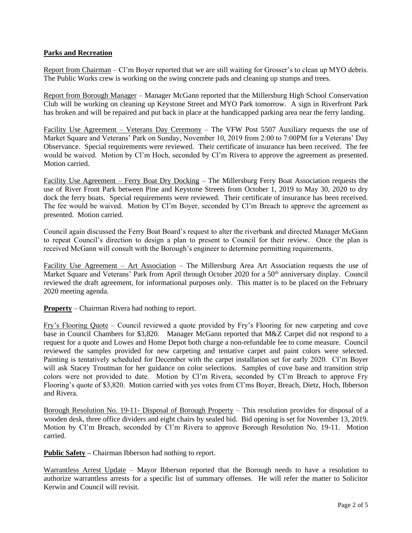# **Parks and Recreation**

Report from Chairman – Cl'm Boyer reported that we are still waiting for Grosser's to clean up MYO debris. The Public Works crew is working on the swing concrete pads and cleaning up stumps and trees.

Report from Borough Manager – Manager McGann reported that the Millersburg High School Conservation Club will be working on cleaning up Keystone Street and MYO Park tomorrow. A sign in Riverfront Park has broken and will be repaired and put back in place at the handicapped parking area near the ferry landing.

Facility Use Agreement – Veterans Day Ceremony – The VFW Post 5507 Auxiliary requests the use of Market Square and Veterans' Park on Sunday, November 10, 2019 from 2:00 to 7:00PM for a Veterans' Day Observance. Special requirements were reviewed. Their certificate of insurance has been received. The fee would be waived. Motion by Cl'm Hoch, seconded by Cl'm Rivera to approve the agreement as presented. Motion carried.

Facility Use Agreement – Ferry Boat Dry Docking – The Millersburg Ferry Boat Association requests the use of River Front Park between Pine and Keystone Streets from October 1, 2019 to May 30, 2020 to dry dock the ferry boats. Special requirements were reviewed. Their certificate of insurance has been received. The fee would be waived. Motion by Cl'm Boyer, seconded by Cl'm Breach to approve the agreement as presented. Motion carried.

Council again discussed the Ferry Boat Board's request to alter the riverbank and directed Manager McGann to repeat Council's direction to design a plan to present to Council for their review. Once the plan is received McGann will consult with the Borough's engineer to determine permitting requirements.

Facility Use Agreement – Art Association – The Millersburg Area Art Association requests the use of Market Square and Veterans' Park from April through October 2020 for a 50<sup>th</sup> anniversary display. Council reviewed the draft agreement, for informational purposes only. This matter is to be placed on the February 2020 meeting agenda.

**Property** – Chairman Rivera had nothing to report.

Fry's Flooring Quote – Council reviewed a quote provided by Fry's Flooring for new carpeting and cove base in Council Chambers for \$3,820. Manager McGann reported that M&Z Carpet did not respond to a request for a quote and Lowes and Home Depot both charge a non-refundable fee to come measure. Council reviewed the samples provided for new carpeting and tentative carpet and paint colors were selected. Painting is tentatively scheduled for December with the carpet installation set for early 2020. Cl'm Boyer will ask Stacey Troutman for her guidance on color selections. Samples of cove base and transition strip colors were not provided to date. Motion by Cl'm Rivera, seconded by Cl'm Breach to approve Fry Flooring's quote of \$3,820. Motion carried with yes votes from Cl'ms Boyer, Breach, Dietz, Hoch, Ibberson and Rivera.

Borough Resolution No. 19-11- Disposal of Borough Property – This resolution provides for disposal of a wooden desk, three office dividers and eight chairs by sealed bid. Bid opening is set for November 13, 2019. Motion by Cl'm Breach, seconded by Cl'm Rivera to approve Borough Resolution No. 19-11. Motion carried.

**Public Safety –** Chairman Ibberson had nothing to report.

Warrantless Arrest Update – Mayor Ibberson reported that the Borough needs to have a resolution to authorize warrantless arrests for a specific list of summary offenses. He will refer the matter to Solicitor Kerwin and Council will revisit.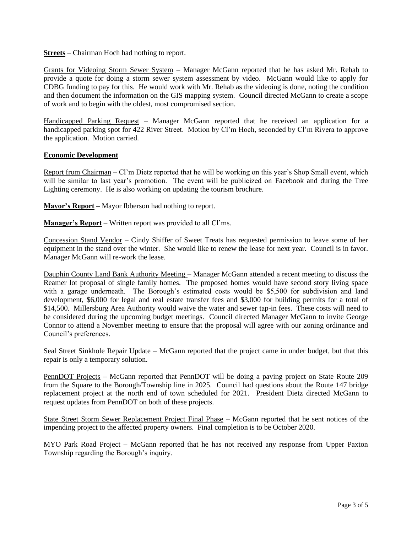### **Streets** – Chairman Hoch had nothing to report.

Grants for Videoing Storm Sewer System – Manager McGann reported that he has asked Mr. Rehab to provide a quote for doing a storm sewer system assessment by video. McGann would like to apply for CDBG funding to pay for this. He would work with Mr. Rehab as the videoing is done, noting the condition and then document the information on the GIS mapping system. Council directed McGann to create a scope of work and to begin with the oldest, most compromised section.

Handicapped Parking Request – Manager McGann reported that he received an application for a handicapped parking spot for 422 River Street. Motion by Cl'm Hoch, seconded by Cl'm Rivera to approve the application. Motion carried.

## **Economic Development**

Report from Chairman – Cl'm Dietz reported that he will be working on this year's Shop Small event, which will be similar to last year's promotion. The event will be publicized on Facebook and during the Tree Lighting ceremony. He is also working on updating the tourism brochure.

**Mayor's Report –** Mayor Ibberson had nothing to report.

**Manager's Report** – Written report was provided to all Cl'ms.

Concession Stand Vendor – Cindy Shiffer of Sweet Treats has requested permission to leave some of her equipment in the stand over the winter. She would like to renew the lease for next year. Council is in favor. Manager McGann will re-work the lease.

Dauphin County Land Bank Authority Meeting – Manager McGann attended a recent meeting to discuss the Reamer lot proposal of single family homes. The proposed homes would have second story living space with a garage underneath. The Borough's estimated costs would be \$5,500 for subdivision and land development, \$6,000 for legal and real estate transfer fees and \$3,000 for building permits for a total of \$14,500. Millersburg Area Authority would waive the water and sewer tap-in fees. These costs will need to be considered during the upcoming budget meetings. Council directed Manager McGann to invite George Connor to attend a November meeting to ensure that the proposal will agree with our zoning ordinance and Council's preferences.

Seal Street Sinkhole Repair Update – McGann reported that the project came in under budget, but that this repair is only a temporary solution.

PennDOT Projects – McGann reported that PennDOT will be doing a paving project on State Route 209 from the Square to the Borough/Township line in 2025. Council had questions about the Route 147 bridge replacement project at the north end of town scheduled for 2021. President Dietz directed McGann to request updates from PennDOT on both of these projects.

State Street Storm Sewer Replacement Project Final Phase – McGann reported that he sent notices of the impending project to the affected property owners. Final completion is to be October 2020.

MYO Park Road Project – McGann reported that he has not received any response from Upper Paxton Township regarding the Borough's inquiry.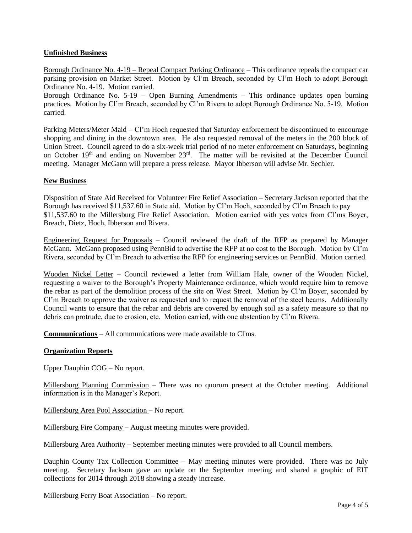# **Unfinished Business**

Borough Ordinance No. 4-19 – Repeal Compact Parking Ordinance – This ordinance repeals the compact car parking provision on Market Street. Motion by Cl'm Breach, seconded by Cl'm Hoch to adopt Borough Ordinance No. 4-19. Motion carried.

Borough Ordinance No. 5-19 – Open Burning Amendments – This ordinance updates open burning practices. Motion by Cl'm Breach, seconded by Cl'm Rivera to adopt Borough Ordinance No. 5-19. Motion carried.

Parking Meters/Meter Maid – Cl'm Hoch requested that Saturday enforcement be discontinued to encourage shopping and dining in the downtown area. He also requested removal of the meters in the 200 block of Union Street. Council agreed to do a six-week trial period of no meter enforcement on Saturdays, beginning on October 19<sup>th</sup> and ending on November 23<sup>rd</sup>. The matter will be revisited at the December Council meeting. Manager McGann will prepare a press release. Mayor Ibberson will advise Mr. Sechler.

## **New Business**

Disposition of State Aid Received for Volunteer Fire Relief Association – Secretary Jackson reported that the Borough has received \$11,537.60 in State aid. Motion by Cl'm Hoch, seconded by Cl'm Breach to pay \$11,537.60 to the Millersburg Fire Relief Association. Motion carried with yes votes from Cl'ms Boyer, Breach, Dietz, Hoch, Ibberson and Rivera.

Engineering Request for Proposals – Council reviewed the draft of the RFP as prepared by Manager McGann. McGann proposed using PennBid to advertise the RFP at no cost to the Borough. Motion by Cl'm Rivera, seconded by Cl'm Breach to advertise the RFP for engineering services on PennBid. Motion carried.

Wooden Nickel Letter – Council reviewed a letter from William Hale, owner of the Wooden Nickel, requesting a waiver to the Borough's Property Maintenance ordinance, which would require him to remove the rebar as part of the demolition process of the site on West Street. Motion by Cl'm Boyer, seconded by Cl'm Breach to approve the waiver as requested and to request the removal of the steel beams. Additionally Council wants to ensure that the rebar and debris are covered by enough soil as a safety measure so that no debris can protrude, due to erosion, etc. Motion carried, with one abstention by Cl'm Rivera.

**Communications** – All communications were made available to Cl'ms.

## **Organization Reports**

Upper Dauphin COG – No report.

Millersburg Planning Commission – There was no quorum present at the October meeting. Additional information is in the Manager's Report.

Millersburg Area Pool Association – No report.

Millersburg Fire Company – August meeting minutes were provided.

Millersburg Area Authority – September meeting minutes were provided to all Council members.

Dauphin County Tax Collection Committee – May meeting minutes were provided. There was no July meeting. Secretary Jackson gave an update on the September meeting and shared a graphic of EIT collections for 2014 through 2018 showing a steady increase.

Millersburg Ferry Boat Association – No report.